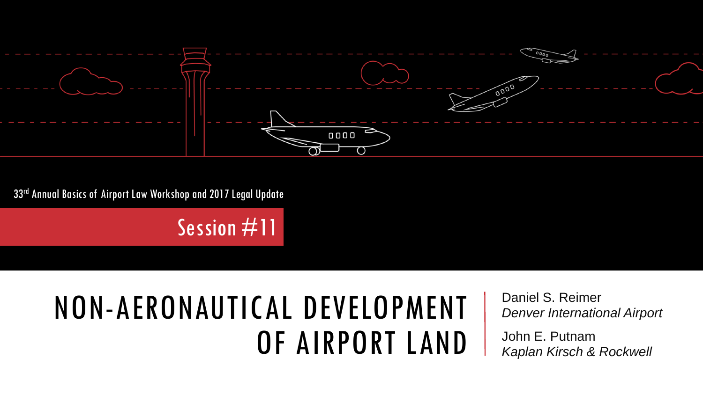

33rd Annual Basics of Airport Law Workshop and 2017 Legal Update

Session #11

#### NON-AERONAUTICAL DEVELOPMENT OF AIRPORT LAND

Daniel S. Reimer *Denver International Airport*

John E. Putnam *Kaplan Kirsch & Rockwell*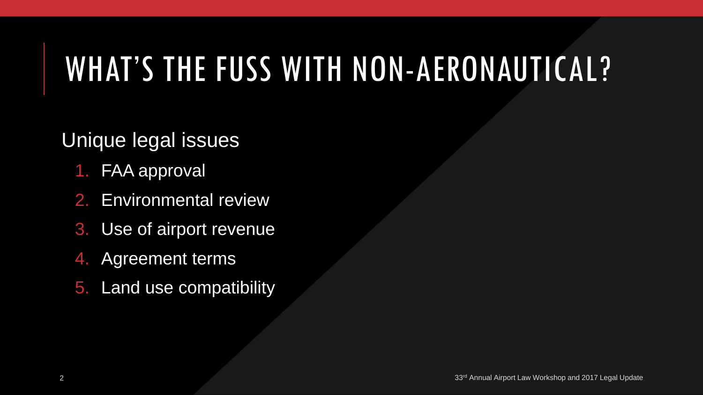# WHAT'S THE FUSS WITH NON-AERONAUTICAL?

#### Unique legal issues

- 1. FAA approval
- 2. Environmental review
- 3. Use of airport revenue
- 4. Agreement terms
- 5. Land use compatibility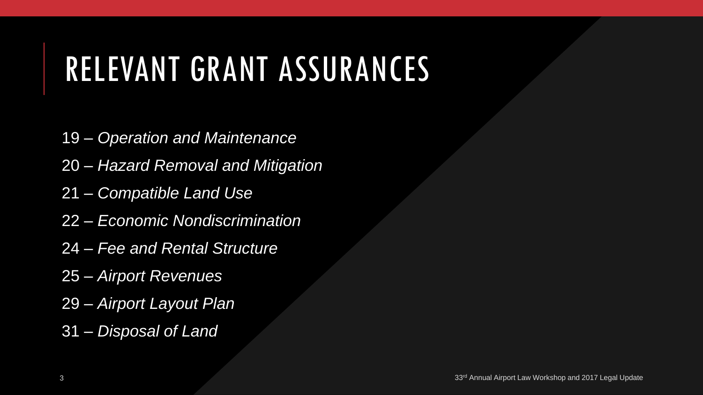# RELEVANT GRANT ASSURANCES

- 19 *Operation and Maintenance*
- 20 *Hazard Removal and Mitigation*
- 21 *Compatible Land Use*
- 22 *Economic Nondiscrimination*
- 24 *Fee and Rental Structure*
- 25 *Airport Revenues*
- 29 *Airport Layout Plan*
- 31 *Disposal of Land*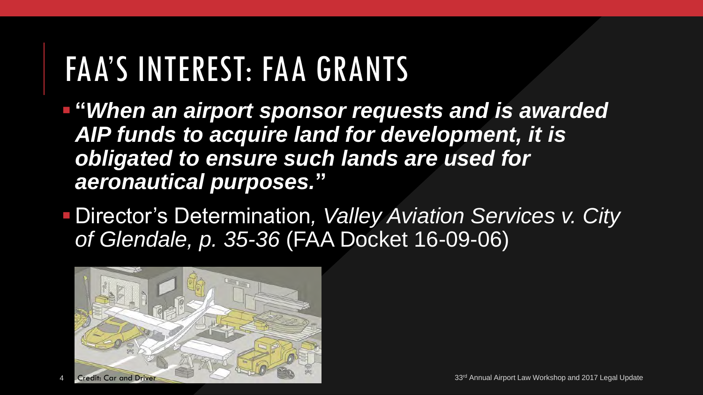#### FAA'S INTEREST: FAA GRANTS

 **"***When an airport sponsor requests and is awarded AIP funds to acquire land for development, it is obligated to ensure such lands are used for aeronautical purposes.***"** 

 Director's Determination*, Valley Aviation Services v. City of Glendale, p. 35-36* (FAA Docket 16-09-06)

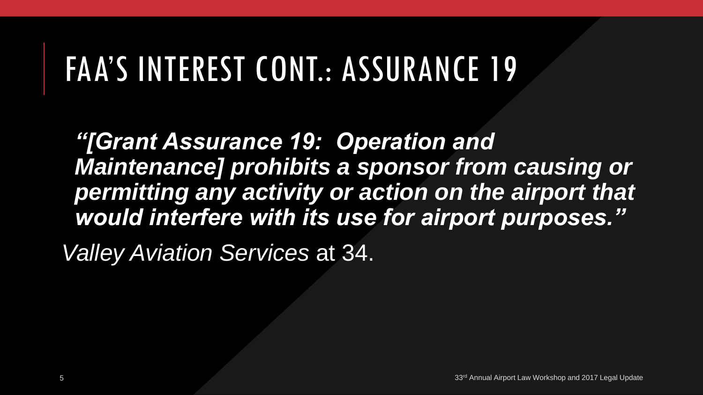# FAA'S INTEREST CONT.: ASSURANCE 19

*"[Grant Assurance 19: Operation and*  **Maintenance] prohibits a sponsor from causing or** *permitting any activity or action on the airport that would interfere with its use for airport purposes."*

*Valley Aviation Services* at 34.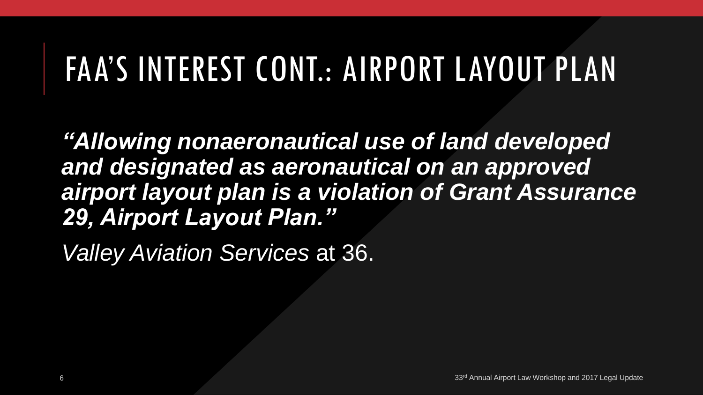# FAA'S INTEREST CONT.: AIRPORT LAYOUT PLAN

*"Allowing nonaeronautical use of land developed and designated as aeronautical on an approved airport layout plan is a violation of Grant Assurance 29, Airport Layout Plan."*

*Valley Aviation Services* at 36.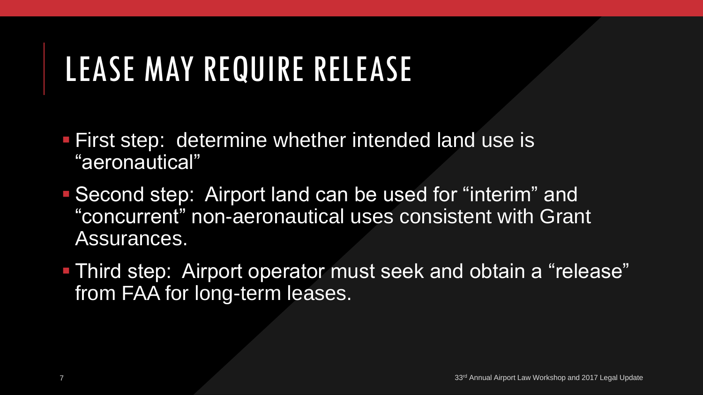# LEASE MAY REQUIRE RELEASE

- First step: determine whether intended land use is "aeronautical"
- Second step: Airport land can be used for "interim" and "concurrent" non-aeronautical uses consistent with Grant Assurances.
- **Third step: Airport operator must seek and obtain a "release"** from FAA for long-term leases.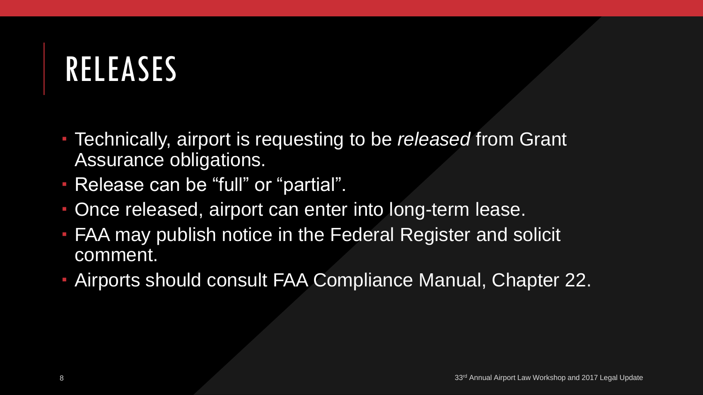### RELEASES

- Technically, airport is requesting to be *released* from Grant Assurance obligations.
- Release can be "full" or "partial".
- Once released, airport can enter into long-term lease.
- FAA may publish notice in the Federal Register and solicit comment.
- Airports should consult FAA Compliance Manual, Chapter 22.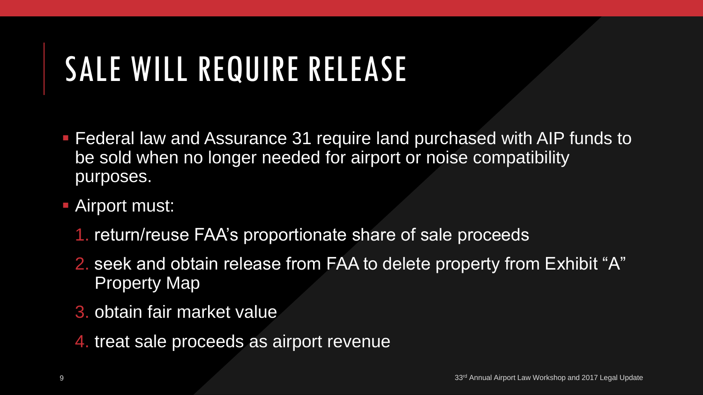# SALE WILL REQUIRE RELEASE

- **Federal law and Assurance 31 require land purchased with AIP funds to** be sold when no longer needed for airport or noise compatibility purposes.
- Airport must:
	- 1. return/reuse FAA's proportionate share of sale proceeds
	- 2. seek and obtain release from FAA to delete property from Exhibit "A" Property Map
	- 3. obtain fair market value
	- 4. treat sale proceeds as airport revenue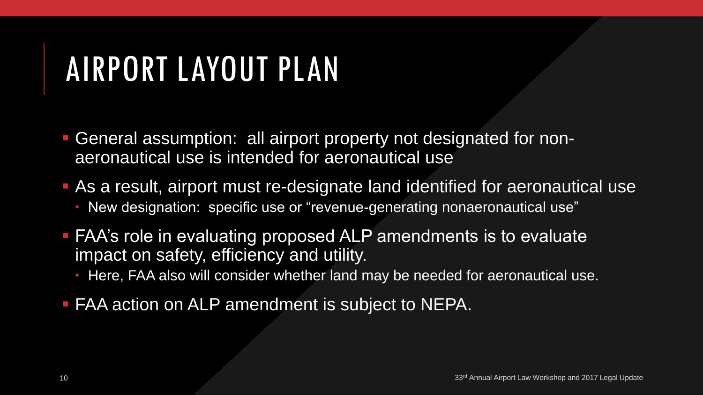# AIRPORT LAYOUT PLAN

- General assumption: all airport property not designated for nonaeronautical use is intended for aeronautical use
- As a result, airport must re-designate land identified for aeronautical use New designation: specific use or "revenue-generating nonaeronautical use"
- FAA's role in evaluating proposed ALP amendments is to evaluate impact on safety, efficiency and utility.
	- Here, FAA also will consider whether land may be needed for aeronautical use.
- **FAA action on ALP amendment is subject to NEPA.**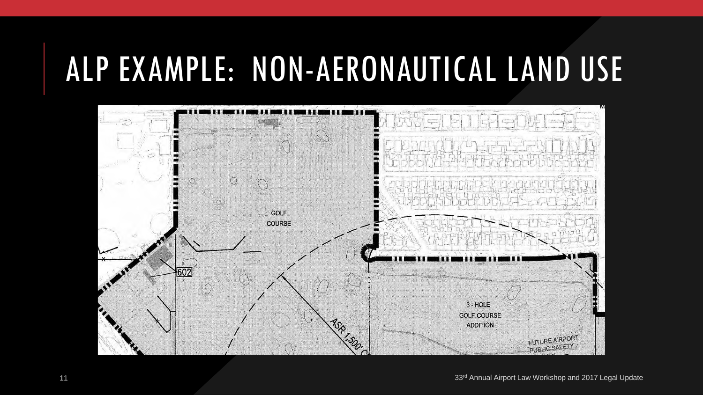#### ALP EXAMPLE: NON-AERONAUTICAL LAND USE

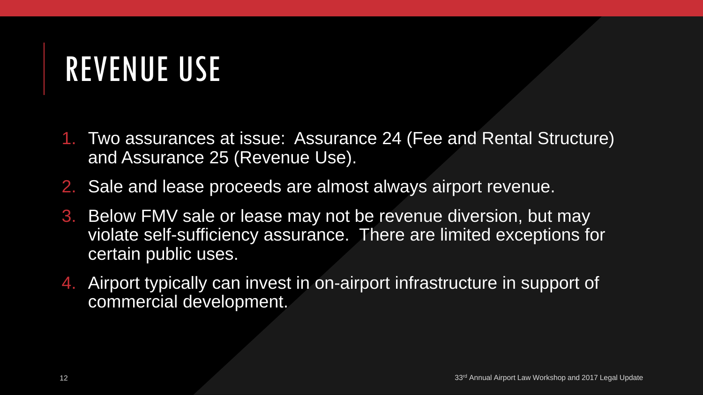#### REVENUE USE

- 1. Two assurances at issue: Assurance 24 (Fee and Rental Structure) and Assurance 25 (Revenue Use).
- 2. Sale and lease proceeds are almost always airport revenue.
- 3. Below FMV sale or lease may not be revenue diversion, but may violate self-sufficiency assurance. There are limited exceptions for certain public uses.
- 4. Airport typically can invest in on-airport infrastructure in support of commercial development.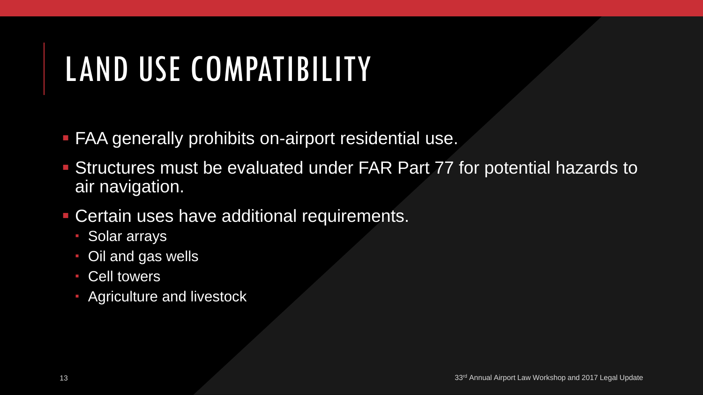# LAND USE COMPATIBILITY

- **FAA generally prohibits on-airport residential use.**
- Structures must be evaluated under FAR Part 77 for potential hazards to air navigation.
- Certain uses have additional requirements.
	- Solar arrays
	- Oil and gas wells
	- Cell towers
	- Agriculture and livestock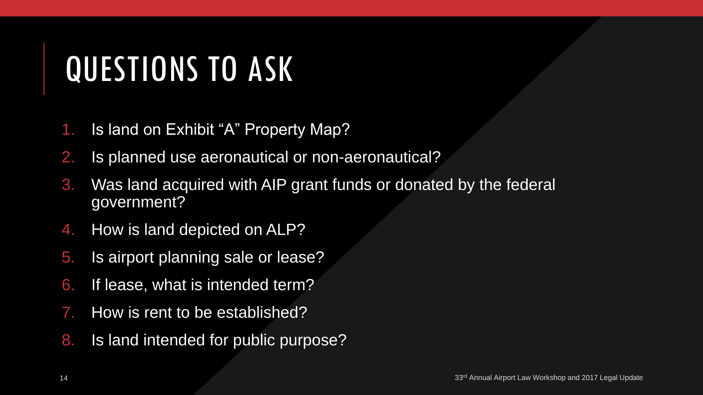# QUESTIONS TO ASK

- 1. Is land on Exhibit "A" Property Map?
- 2. Is planned use aeronautical or non-aeronautical?
- 3. Was land acquired with AIP grant funds or donated by the federal government?
- 4. How is land depicted on ALP?
- 5. Is airport planning sale or lease?
- 6. If lease, what is intended term?
- 7. How is rent to be established?
- 8. Is land intended for public purpose?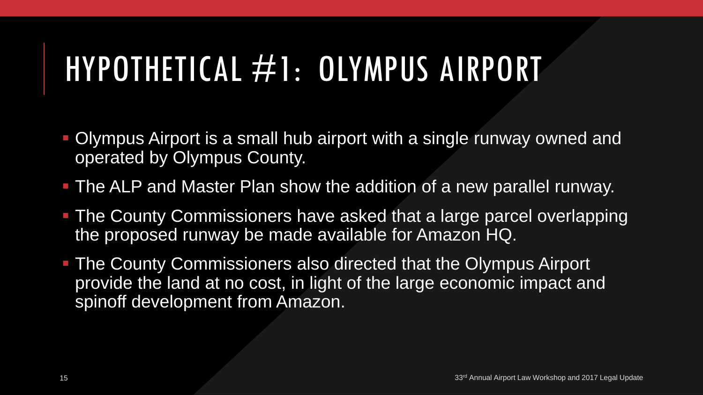# HYPOTHETICAL #1: OLYMPUS AIRPORT

- Olympus Airport is a small hub airport with a single runway owned and operated by Olympus County.
- The ALP and Master Plan show the addition of a new parallel runway.
- **The County Commissioners have asked that a large parcel overlapping** the proposed runway be made available for Amazon HQ.
- **The County Commissioners also directed that the Olympus Airport** provide the land at no cost, in light of the large economic impact and spinoff development from Amazon.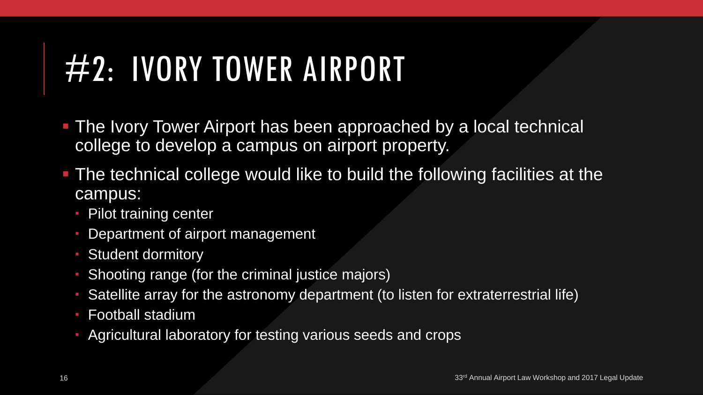# #2: IVORY TOWER AIRPORT

- **The Ivory Tower Airport has been approached by a local technical** college to develop a campus on airport property.
- The technical college would like to build the following facilities at the campus:
	- **Pilot training center**
	- Department of airport management
	- **Student dormitory**
	- Shooting range (for the criminal justice majors)
	- Satellite array for the astronomy department (to listen for extraterrestrial life)
	- Football stadium
	- Agricultural laboratory for testing various seeds and crops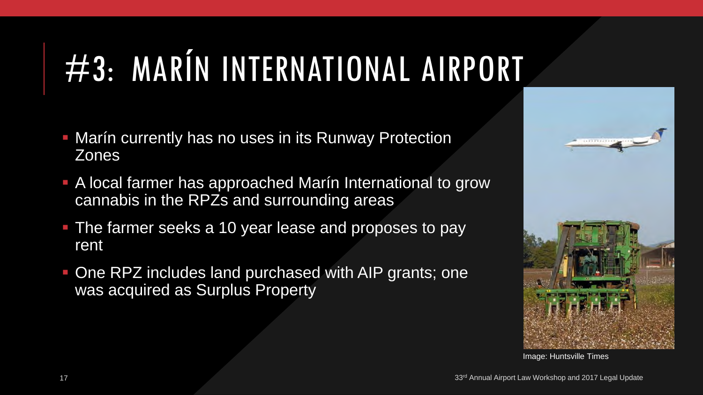# #3: MARÍN INTERNATIONAL AIRPORT

- **Marín currently has no uses in its Runway Protection** Zones
- A local farmer has approached Marín International to grow cannabis in the RPZs and surrounding areas
- **The farmer seeks a 10 year lease and proposes to pay** rent
- One RPZ includes land purchased with AIP grants; one was acquired as Surplus Property



Image: Huntsville Times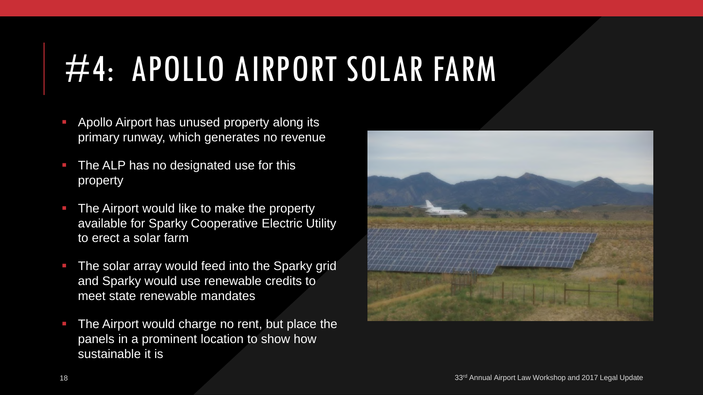# #4: APOLLO AIRPORT SOLAR FARM

- Apollo Airport has unused property along its primary runway, which generates no revenue
- **The ALP has no designated use for this** property
- **The Airport would like to make the property** available for Sparky Cooperative Electric Utility to erect a solar farm
- **The solar array would feed into the Sparky grid** and Sparky would use renewable credits to meet state renewable mandates
- The Airport would charge no rent, but place the panels in a prominent location to show how sustainable it is

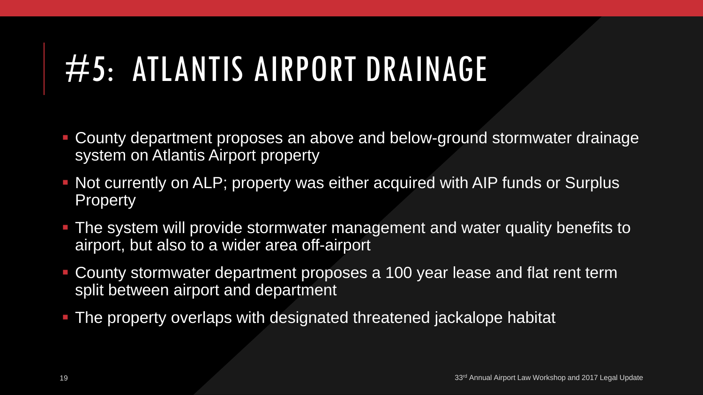# #5: ATLANTIS AIRPORT DRAINAGE

- County department proposes an above and below-ground stormwater drainage system on Atlantis Airport property
- Not currently on ALP; property was either acquired with AIP funds or Surplus **Property**
- The system will provide stormwater management and water quality benefits to airport, but also to a wider area off-airport
- County stormwater department proposes a 100 year lease and flat rent term split between airport and department
- The property overlaps with designated threatened jackalope habitat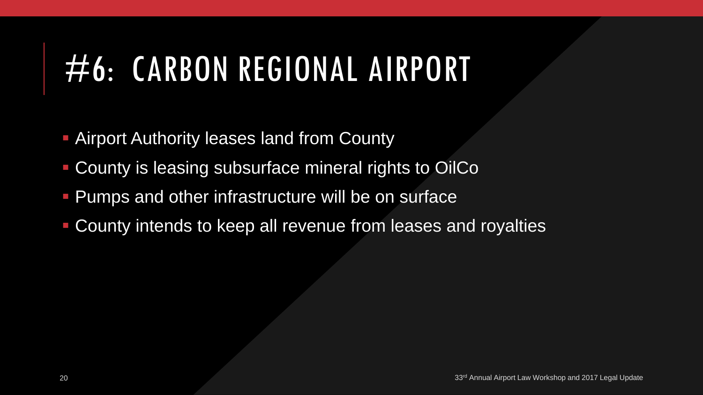# #6: CARBON REGIONAL AIRPORT

- **Airport Authority leases land from County**
- County is leasing subsurface mineral rights to OilCo
- **Pumps and other infrastructure will be on surface**
- County intends to keep all revenue from leases and royalties